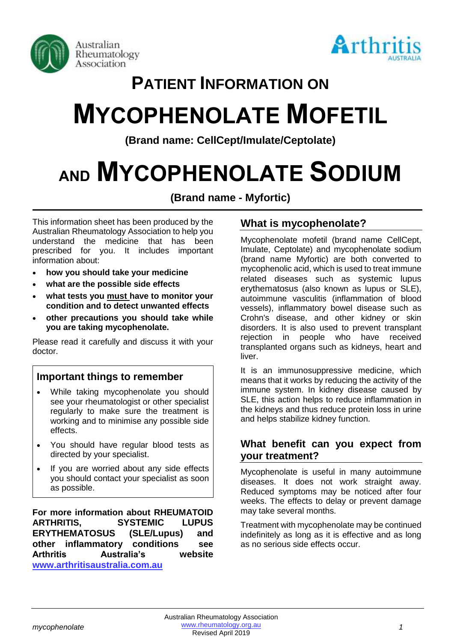



# **PATIENT INFORMATION ON**

# **MYCOPHENOLATE MOFETIL**

**(Brand name: CellCept/Imulate/Ceptolate)**

# **AND MYCOPHENOLATE SODIUM**

**(Brand name - Myfortic)**

This information sheet has been produced by the Australian Rheumatology Association to help you understand the medicine that has been prescribed for you. It includes important information about:

- **how you should take your medicine**
- **what are the possible side effects**
- **what tests you must have to monitor your condition and to detect unwanted effects**
- **other precautions you should take while you are taking mycophenolate.**

Please read it carefully and discuss it with your doctor.

# **Important things to remember**

- While taking mycophenolate you should see your rheumatologist or other specialist regularly to make sure the treatment is working and to minimise any possible side effects.
- You should have regular blood tests as directed by your specialist.
- If you are worried about any side effects you should contact your specialist as soon as possible.

**For more information about RHEUMATOID ARTHRITIS, SYSTEMIC LUPUS ERYTHEMATOSUS (SLE/Lupus) and other inflammatory conditions see Arthritis Australia's website [www.arthritisaustralia.com.au](http://www.arthritisaustralia.com.au/index.php/arthritis-information/information-sheets.html)**

# **What is mycophenolate?**

Mycophenolate mofetil (brand name CellCept, Imulate, Ceptolate) and mycophenolate sodium (brand name Myfortic) are both converted to mycophenolic acid, which is used to treat immune related diseases such as systemic lupus erythematosus (also known as lupus or SLE), autoimmune vasculitis (inflammation of blood vessels), inflammatory bowel disease such as Crohn's disease, and other kidney or skin disorders. It is also used to prevent transplant rejection in people who have received transplanted organs such as kidneys, heart and liver.

It is an immunosuppressive medicine, which means that it works by reducing the activity of the immune system. In kidney disease caused by SLE, this action helps to reduce inflammation in the kidneys and thus reduce protein loss in urine and helps stabilize kidney function.

## **What benefit can you expect from your treatment?**

Mycophenolate is useful in many autoimmune diseases. It does not work straight away. Reduced symptoms may be noticed after four weeks. The effects to delay or prevent damage may take several months.

Treatment with mycophenolate may be continued indefinitely as long as it is effective and as long as no serious side effects occur.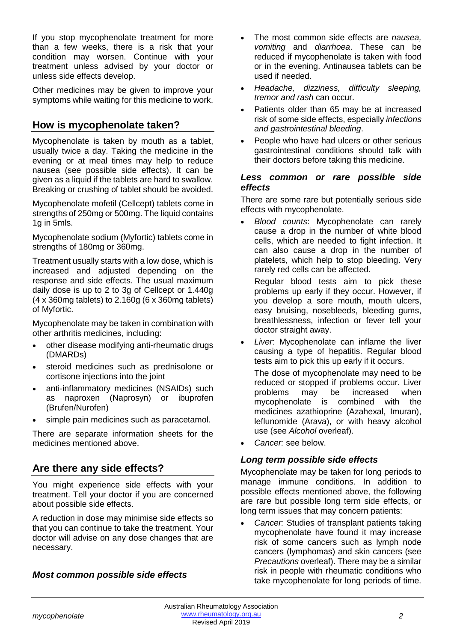If you stop mycophenolate treatment for more than a few weeks, there is a risk that your condition may worsen. Continue with your treatment unless advised by your doctor or unless side effects develop.

Other medicines may be given to improve your symptoms while waiting for this medicine to work.

# **How is mycophenolate taken?**

Mycophenolate is taken by mouth as a tablet, usually twice a day. Taking the medicine in the evening or at meal times may help to reduce nausea (see possible side effects). It can be given as a liquid if the tablets are hard to swallow. Breaking or crushing of tablet should be avoided.

Mycophenolate mofetil (Cellcept) tablets come in strengths of 250mg or 500mg. The liquid contains 1g in 5mls.

Mycophenolate sodium (Myfortic) tablets come in strengths of 180mg or 360mg.

Treatment usually starts with a low dose, which is increased and adjusted depending on the response and side effects. The usual maximum daily dose is up to 2 to 3g of Cellcept or 1.440g (4 x 360mg tablets) to 2.160g (6 x 360mg tablets) of Myfortic.

Mycophenolate may be taken in combination with other arthritis medicines, including:

- other disease modifying anti-rheumatic drugs (DMARDs)
- steroid medicines such as prednisolone or cortisone injections into the joint
- anti-inflammatory medicines (NSAIDs) such as naproxen (Naprosyn) or ibuprofen (Brufen/Nurofen)
- simple pain medicines such as paracetamol.

There are separate information sheets for the medicines mentioned above.

# **Are there any side effects?**

You might experience side effects with your treatment. Tell your doctor if you are concerned about possible side effects.

A reduction in dose may minimise side effects so that you can continue to take the treatment. Your doctor will advise on any dose changes that are necessary.

#### *Most common possible side effects*

- The most common side effects are *nausea, vomiting* and *diarrhoea*. These can be reduced if mycophenolate is taken with food or in the evening. Antinausea tablets can be used if needed.
- *Headache, dizziness, difficulty sleeping, tremor and rash* can occur.
- Patients older than 65 may be at increased risk of some side effects, especially *infections and gastrointestinal bleeding*.
- People who have had ulcers or other serious gastrointestinal conditions should talk with their doctors before taking this medicine.

#### *Less common or rare possible side effects*

There are some rare but potentially serious side effects with mycophenolate.

• *Blood counts*: Mycophenolate can rarely cause a drop in the number of white blood cells, which are needed to fight infection. It can also cause a drop in the number of platelets, which help to stop bleeding. Very rarely red cells can be affected.

Regular blood tests aim to pick these problems up early if they occur. However, if you develop a sore mouth, mouth ulcers, easy bruising, nosebleeds, bleeding gums, breathlessness, infection or fever tell your doctor straight away.

• *Liver*: Mycophenolate can inflame the liver causing a type of hepatitis. Regular blood tests aim to pick this up early if it occurs.

The dose of mycophenolate may need to be reduced or stopped if problems occur. Liver problems may be increased when mycophenolate is combined with the medicines azathioprine (Azahexal, Imuran), leflunomide (Arava), or with heavy alcohol use (see *Alcohol* overleaf).

• *Cancer:* see below.

#### *Long term possible side effects*

Mycophenolate may be taken for long periods to manage immune conditions. In addition to possible effects mentioned above, the following are rare but possible long term side effects, or long term issues that may concern patients:

• *Cancer:* Studies of transplant patients taking mycophenolate have found it may increase risk of some cancers such as lymph node cancers (lymphomas) and skin cancers (see *Precautions* overleaf). There may be a similar risk in people with rheumatic conditions who take mycophenolate for long periods of time.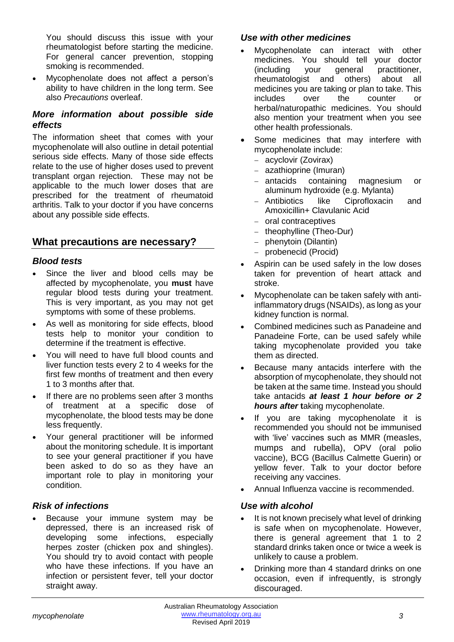You should discuss this issue with your rheumatologist before starting the medicine. For general cancer prevention, stopping smoking is recommended.

• Mycophenolate does not affect a person's ability to have children in the long term. See also *Precautions* overleaf.

#### *More information about possible side effects*

The information sheet that comes with your mycophenolate will also outline in detail potential serious side effects. Many of those side effects relate to the use of higher doses used to prevent transplant organ rejection. These may not be applicable to the much lower doses that are prescribed for the treatment of rheumatoid arthritis. Talk to your doctor if you have concerns about any possible side effects.

## **What precautions are necessary?**

#### *Blood tests*

- Since the liver and blood cells may be affected by mycophenolate, you **must** have regular blood tests during your treatment. This is very important, as you may not get symptoms with some of these problems.
- As well as monitoring for side effects, blood tests help to monitor your condition to determine if the treatment is effective.
- You will need to have full blood counts and liver function tests every 2 to 4 weeks for the first few months of treatment and then every 1 to 3 months after that.
- If there are no problems seen after 3 months of treatment at a specific dose of mycophenolate, the blood tests may be done less frequently.
- Your general practitioner will be informed about the monitoring schedule. It is important to see your general practitioner if you have been asked to do so as they have an important role to play in monitoring your condition.

#### *Risk of infections*

Because your immune system may be depressed, there is an increased risk of developing some infections, especially herpes zoster (chicken pox and shingles). You should try to avoid contact with people who have these infections. If you have an infection or persistent fever, tell your doctor straight away.

#### *Use with other medicines*

- Mycophenolate can interact with other medicines. You should tell your doctor (including your general practitioner, rheumatologist and others) about all medicines you are taking or plan to take. This includes over the counter or herbal/naturopathic medicines. You should also mention your treatment when you see other health professionals.
- Some medicines that may interfere with mycophenolate include:
	- − acyclovir (Zovirax)
	- − [azathioprine](http://www.rheumatology.org/public/factsheets/azathioprine.asp) (Imuran)
	- − antacids containing magnesium or aluminum hydroxide (e.g. Mylanta)
	- − Antibiotics like Ciprofloxacin and Amoxicillin+ Clavulanic Acid
	- − oral contraceptives
	- − theophylline (Theo-Dur)
	- − phenytoin (Dilantin)
	- − probenecid (Procid)
- Aspirin can be used safely in the low doses taken for prevention of heart attack and stroke.
- Mycophenolate can be taken safely with antiinflammatory drugs (NSAIDs), as long as your kidney function is normal.
- Combined medicines such as Panadeine and Panadeine Forte, can be used safely while taking mycophenolate provided you take them as directed.
- Because many antacids interfere with the absorption of mycophenolate, they should not be taken at the same time. Instead you should take antacids *at least 1 hour before or 2*  **hours after taking mycophenolate.**
- If you are taking mycophenolate it is recommended you should not be immunised with 'live' vaccines such as MMR (measles, mumps and rubella), OPV (oral polio vaccine), BCG (Bacillus Calmette Guerin) or yellow fever. Talk to your doctor before receiving any vaccines.
- Annual Influenza vaccine is recommended.

## *Use with alcohol*

- It is not known precisely what level of drinking is safe when on mycophenolate. However, there is general agreement that 1 to 2 standard drinks taken once or twice a week is unlikely to cause a problem.
- Drinking more than 4 standard drinks on one occasion, even if infrequently, is strongly discouraged.